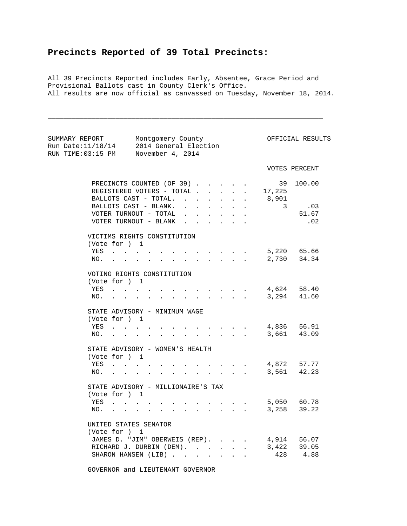## **Precincts Reported of 39 Total Precincts:**

All 39 Precincts Reported includes Early, Absentee, Grace Period and Provisional Ballots cast in County Clerk's Office. All results are now official as canvassed on Tuesday, November 18, 2014.

\_\_\_\_\_\_\_\_\_\_\_\_\_\_\_\_\_\_\_\_\_\_\_\_\_\_\_\_\_\_\_\_\_\_\_\_\_\_\_\_\_\_\_\_\_\_\_\_\_\_\_\_\_\_\_\_\_\_\_\_\_\_\_\_\_\_\_\_\_

| RUN TIME:03:15 PM November 4, 2014                                                    | SUMMARY REPORT Montgomery County<br>Run Date:11/18/14 2014 General Election                                                                                                                                                                                                                  |                                                                                |                                                 | OFFICIAL RESULTS                 |
|---------------------------------------------------------------------------------------|----------------------------------------------------------------------------------------------------------------------------------------------------------------------------------------------------------------------------------------------------------------------------------------------|--------------------------------------------------------------------------------|-------------------------------------------------|----------------------------------|
|                                                                                       |                                                                                                                                                                                                                                                                                              |                                                                                |                                                 | VOTES PERCENT                    |
|                                                                                       | PRECINCTS COUNTED (OF 39).<br>REGISTERED VOTERS - TOTAL .<br>$\mathbf{L}$<br>BALLOTS CAST - TOTAL.<br>$\mathbf{L} = \mathbf{L}$<br>BALLOTS CAST - BLANK.<br>VOTER TURNOUT - TOTAL<br><b>College</b><br>$\ddot{\phantom{a}}$<br>VOTER TURNOUT - BLANK<br>$\mathbf{L}$<br>$\ddot{\phantom{a}}$ | $\mathbf{L}$<br>$\ddot{\phantom{0}}$<br>$\mathbf{L}$<br>$\ddot{\phantom{a}}$   | . 17,225<br>8,901<br>$\overline{\phantom{a}}$ 3 | 39 100.00<br>.03<br>51.67<br>.02 |
| (Vote for ) 1<br>YES<br>NO.                                                           | VICTIMS RIGHTS CONSTITUTION<br>$\sim$<br>$\ddot{\phantom{a}}$<br>$\mathbf{L}$                                                                                                                                                                                                                |                                                                                |                                                 | 5,220 65.66<br>2,730 34.34       |
| (Vote for ) 1                                                                         | VOTING RIGHTS CONSTITUTION<br>YES<br>NO.                                                                                                                                                                                                                                                     |                                                                                | 4,624 58.40                                     | 3,294 41.60                      |
| (Vote for ) 1<br>YES<br>NO.<br>$\mathbf{r} = \mathbf{r}$                              | STATE ADVISORY - MINIMUM WAGE<br>$\mathbf{r} = \mathbf{r} + \mathbf{r} + \mathbf{r} + \mathbf{r}$<br>$\mathcal{L}^{\pm}$                                                                                                                                                                     | $\mathbf{L}^{\text{max}}$<br>$\sim$                                            |                                                 | 4,836 56.91<br>3,661 43.09       |
| (Vote for ) 1<br>YES                                                                  | STATE ADVISORY - WOMEN'S HEALTH<br>NO.                                                                                                                                                                                                                                                       | $\mathbf{L} = \mathbf{L}$                                                      | $\cdot$ , , , , 4,872 57.77                     | 3,561 42.23                      |
| (Vote for ) 1<br>YES<br>$\mathbf{L} = \mathbf{L}$<br>NO.<br>$\mathbf{r}$ $\mathbf{r}$ | STATE ADVISORY - MILLIONAIRE'S TAX<br>$\mathbf{r} = \mathbf{r}$<br>$\sim$<br>$\sim$<br>$\sim$<br>$\sim$                                                                                                                                                                                      | $\sim$<br>$\mathbf{L} = \mathbf{L} \mathbf{L}$                                 |                                                 | 5,050 60.78<br>$3,258$ $39.22$   |
| UNITED STATES SENATOR<br>(Vote for ) 1                                                | JAMES D. "JIM" OBERWEIS (REP).<br>RICHARD J. DURBIN (DEM).<br>SHARON HANSEN (LIB)<br>$\mathbf{L} = \mathbf{L} \mathbf{L}$                                                                                                                                                                    | $\ddot{\phantom{0}}$<br>$\sim$<br>$\ddot{\phantom{a}}$<br>$\ddot{\phantom{a}}$ | 4,914 56.07<br>3,422 39.05                      | 428 4.88                         |

GOVERNOR and LIEUTENANT GOVERNOR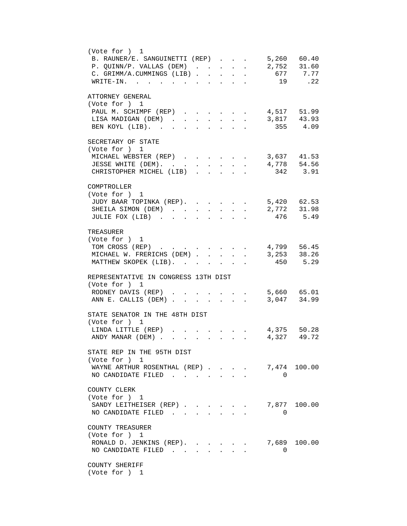| (Vote for ) 1<br>5,260 60.40<br>B. RAUNER/E. SANGUINETTI (REP).<br>$\ddot{\phantom{a}}$<br>$2,752$ 31.60<br>P. QUINN/P. VALLAS (DEM)<br>$\mathbf{r}$<br>$\ddot{\phantom{a}}$<br>$\ddot{\phantom{0}}$<br>677 7.77<br>C. GRIMM/A.CUMMINGS (LIB)<br>$\mathbf{L}$<br>$\mathbf{L}$<br>$\ddot{\phantom{a}}$<br>19 .22<br>$\texttt{WRITE-IN.}$<br>$\mathbf{A}$<br>$\ddot{\phantom{a}}$ |
|---------------------------------------------------------------------------------------------------------------------------------------------------------------------------------------------------------------------------------------------------------------------------------------------------------------------------------------------------------------------------------|
| ATTORNEY GENERAL<br>(Vote for ) 1<br>4,517 51.99<br>PAUL M. SCHIMPF (REP)<br>3,817 43.93<br>355 4.09<br>LISA MADIGAN (DEM).<br>BEN KOYL (LIB). .<br>$\ddot{\phantom{a}}$                                                                                                                                                                                                        |
| SECRETARY OF STATE<br>(Vote for ) 1<br>MICHAEL WEBSTER (REP)<br>$\cdot$ $\cdot$ $\cdot$ 3,637 41.53<br>4,778 54.56<br>JESSE WHITE (DEM).<br>$\sim 10^{-10}$<br>$\mathbf{L}$<br>$\mathbf{L}$<br>$\ddot{\phantom{0}}$<br>342 3.91<br>CHRISTOPHER MICHEL (LIB).<br>$\sim$<br>$\ddot{\phantom{a}}$<br>$\mathbf{r}$ . The set of $\mathbf{r}$                                        |
| COMPTROLLER<br>(Vote for ) 1<br>5,420 62.53<br>JUDY BAAR TOPINKA (REP).<br>2,772 31.98<br>SHEILA SIMON (DEM)<br>$\mathbf{L}$<br>$\mathbf{L}$<br>$\mathbf{L}$<br>$\ddot{\phantom{a}}$<br>476 5.49<br>JULIE FOX (LIB)                                                                                                                                                             |
| TREASURER<br>(Vote for ) 1<br>4,799 56.45<br>3,253 38.26<br>450 5.29<br>TOM CROSS (REP)<br>MICHAEL W. FRERICHS (DEM).<br>$\mathbf{L}^{\text{max}}$<br>$\mathbf{L}$<br>$\mathbf{r}$<br>MATTHEW SKOPEK (LIB).                                                                                                                                                                     |
| REPRESENTATIVE IN CONGRESS 13TH DIST<br>(Vote for ) 1<br>RODNEY DAVIS (REP)<br>. 5,660 65.01<br>3,047 34.99<br>ANN E. CALLIS (DEM)                                                                                                                                                                                                                                              |
| STATE SENATOR IN THE 48TH DIST<br>(Vote for ) 1<br>4,375 50.28<br>LINDA LITTLE (REP)<br>$\mathbf{z}$ and $\mathbf{z}$<br>4,327 49.72<br>ANDY MANAR (DEM).                                                                                                                                                                                                                       |
| STATE REP IN THE 95TH DIST<br>(Vote for ) 1<br>7,474 100.00<br>WAYNE ARTHUR ROSENTHAL (REP)<br>NO CANDIDATE FILED.<br>$\Omega$                                                                                                                                                                                                                                                  |
| COUNTY CLERK<br>(Vote for ) 1<br>7,877 100.00<br>SANDY LEITHEISER (REP)<br>NO CANDIDATE FILED.<br>$\Omega$<br>$\mathbf{L}$                                                                                                                                                                                                                                                      |
| COUNTY TREASURER<br>(Vote for ) 1<br>7,689<br>100.00<br>RONALD D. JENKINS (REP).<br>NO CANDIDATE FILED<br>$\Omega$                                                                                                                                                                                                                                                              |
| COUNTY SHERIFF<br>(Vote for ) 1                                                                                                                                                                                                                                                                                                                                                 |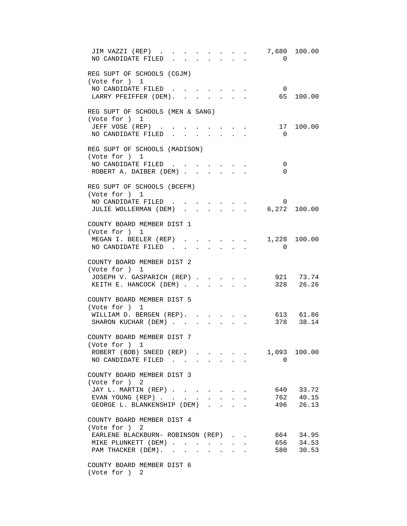| JIM VAZZI (REP)<br>NO CANDIDATE FILED                    |                           |                           |              |                                                           | $\mathbf{z} = \mathbf{z} + \mathbf{z}$ | $\Omega$                                                                           | 7,680 100.00           |
|----------------------------------------------------------|---------------------------|---------------------------|--------------|-----------------------------------------------------------|----------------------------------------|------------------------------------------------------------------------------------|------------------------|
| REG SUPT OF SCHOOLS (CGJM)<br>(Vote for ) 1              |                           |                           |              |                                                           |                                        |                                                                                    |                        |
| NO CANDIDATE FILED<br>LARRY PFEIFFER (DEM).              |                           |                           |              | $\mathbf{r}$ , $\mathbf{r}$ , $\mathbf{r}$ , $\mathbf{r}$ |                                        | $\overline{0}$                                                                     | 65 100.00              |
| REG SUPT OF SCHOOLS (MEN & SANG)<br>(Vote for ) 1        |                           |                           |              |                                                           |                                        |                                                                                    |                        |
| JEFF VOSE (REP)<br>NO CANDIDATE FILED.                   | $\mathbf{L} = \mathbf{L}$ |                           | $\mathbf{r}$ | $\mathbf{L}$                                              |                                        | 17<br>$\overline{0}$                                                               | 100.00                 |
| REG SUPT OF SCHOOLS (MADISON)<br>(Vote for ) 1           |                           |                           |              |                                                           |                                        |                                                                                    |                        |
| NO CANDIDATE FILED<br>ROBERT A. DAIBER (DEM)             |                           |                           |              |                                                           |                                        | 0<br>$\Omega$                                                                      |                        |
| REG SUPT OF SCHOOLS (BCEFM)<br>(Vote for ) 1             |                           |                           |              |                                                           |                                        |                                                                                    |                        |
| NO CANDIDATE FILED<br>JULIE WOLLERMAN (DEM) 6,272 100.00 |                           |                           |              |                                                           |                                        | 0                                                                                  |                        |
| COUNTY BOARD MEMBER DIST 1<br>(Vote for ) 1              |                           |                           |              |                                                           |                                        |                                                                                    |                        |
| MEGAN I. BEELER (REP)<br>NO CANDIDATE FILED.             |                           |                           |              |                                                           |                                        | $\mathbf{A}^{(n)}$ and $\mathbf{A}^{(n)}$ and $\mathbf{A}^{(n)}$<br>$\overline{0}$ | 1,228 100.00           |
| COUNTY BOARD MEMBER DIST 2<br>(Vote for ) 1              |                           |                           |              |                                                           |                                        |                                                                                    |                        |
| JOSEPH V. GASPARICH (REP)<br>KEITH E. HANCOCK (DEM)      |                           |                           |              |                                                           |                                        |                                                                                    | 921 73.74<br>328 26.26 |
| COUNTY BOARD MEMBER DIST 5<br>(Vote for ) 1              |                           |                           |              |                                                           |                                        |                                                                                    |                        |
| WILLIAM D. BERGEN (REP).<br>SHARON KUCHAR (DEM)          |                           | $\mathbf{r} = \mathbf{r}$ |              | $\mathbf{L}$                                              |                                        |                                                                                    | 613 61.86<br>378 38.14 |
| COUNTY BOARD MEMBER DIST 7<br>(Vote for ) 1              |                           |                           |              |                                                           |                                        |                                                                                    |                        |
| ROBERT (BOB) SNEED (REP)<br>NO CANDIDATE FILED           |                           |                           |              |                                                           |                                        | 1,093<br>$\Omega$                                                                  | 100.00                 |
| COUNTY BOARD MEMBER DIST 3<br>(Vote for ) 2              |                           |                           |              |                                                           |                                        |                                                                                    |                        |
| JAY L. MARTIN (REP)<br>EVAN YOUNG (REP)                  |                           |                           |              | $\sim$                                                    |                                        |                                                                                    | 640 33.72<br>762 40.15 |
| GEORGE L. BLANKENSHIP (DEM)                              |                           |                           |              |                                                           |                                        |                                                                                    | 496 26.13              |
| COUNTY BOARD MEMBER DIST 4<br>(Vote for ) 2              |                           |                           |              |                                                           |                                        |                                                                                    |                        |
| EARLENE BLACKBURN- ROBINSON (REP)<br>MIKE PLUNKETT (DEM) |                           |                           |              |                                                           |                                        |                                                                                    | 664 34.95<br>656 34.53 |
| PAM THACKER (DEM).                                       |                           |                           |              |                                                           |                                        |                                                                                    | 580 30.53              |
| COUNTY BOARD MEMBER DIST 6<br>(Vote for ) 2              |                           |                           |              |                                                           |                                        |                                                                                    |                        |